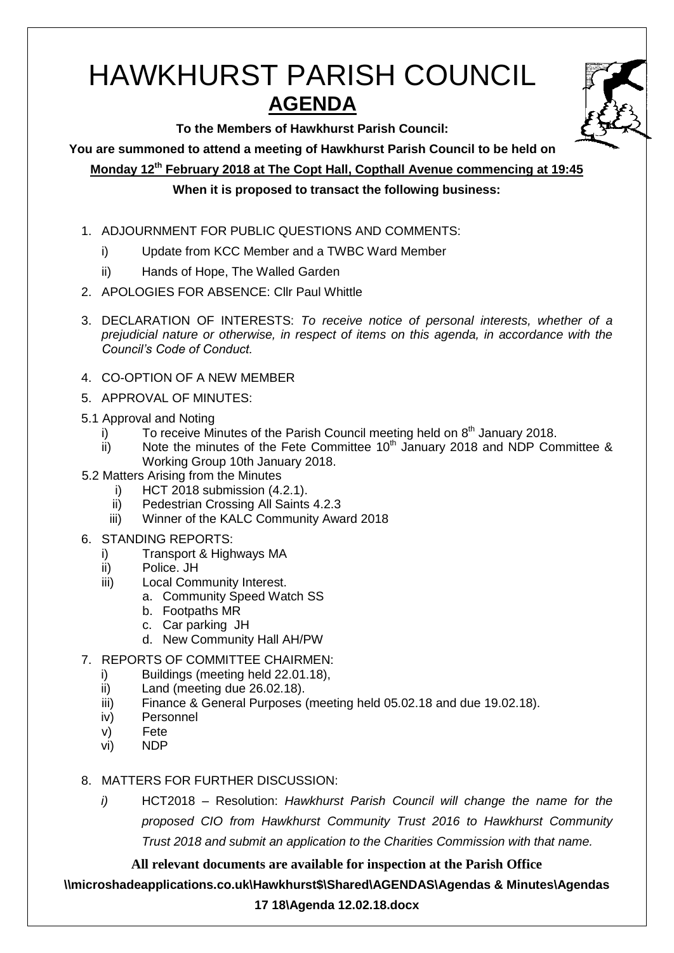# HAWKHURST PARISH COUNCIL **AGENDA**

**To the Members of Hawkhurst Parish Council:**

**You are summoned to attend a meeting of Hawkhurst Parish Council to be held on**

**Monday 12th February 2018 at The Copt Hall, Copthall Avenue commencing at 19:45**

**When it is proposed to transact the following business:**

- 1. ADJOURNMENT FOR PUBLIC QUESTIONS AND COMMENTS:
	- i) Update from KCC Member and a TWBC Ward Member
	- ii) Hands of Hope, The Walled Garden
- 2. APOLOGIES FOR ABSENCE: Cllr Paul Whittle
- 3. DECLARATION OF INTERESTS: *To receive notice of personal interests, whether of a prejudicial nature or otherwise, in respect of items on this agenda, in accordance with the Council's Code of Conduct.*
- 4. CO-OPTION OF A NEW MEMBER
- 5. APPROVAL OF MINUTES:
- 5.1 Approval and Noting
	- i) To receive Minutes of the Parish Council meeting held on  $8<sup>th</sup>$  January 2018.
	- ii) Note the minutes of the Fete Committee  $10<sup>th</sup>$  January 2018 and NDP Committee & Working Group 10th January 2018.
- 5.2 Matters Arising from the Minutes
	- i) HCT 2018 submission (4.2.1).
	- ii) Pedestrian Crossing All Saints 4.2.3
	- iii) Winner of the KALC Community Award 2018
- 6. STANDING REPORTS:
	- i) Transport & Highways MA
	- ii) Police. JH
	- iii) Local Community Interest.
		- a. Community Speed Watch SS
		- b. Footpaths MR
		- c. Car parking JH
		- d. New Community Hall AH/PW
- 7. REPORTS OF COMMITTEE CHAIRMEN:
	- i) Buildings (meeting held 22.01.18),
	- ii) Land (meeting due 26.02.18).
	- iii) Finance & General Purposes (meeting held 05.02.18 and due 19.02.18).
	- iv) Personnel
	- v) Fete
	- vi) NDP
- 8. MATTERS FOR FURTHER DISCUSSION:
	- *i)* HCT2018 Resolution: *Hawkhurst Parish Council will change the name for the proposed CIO from Hawkhurst Community Trust 2016 to Hawkhurst Community Trust 2018 and submit an application to the Charities Commission with that name.*

**All relevant documents are available for inspection at the Parish Office**

**\\microshadeapplications.co.uk\Hawkhurst\$\Shared\AGENDAS\Agendas & Minutes\Agendas** 

## **17 18\Agenda 12.02.18.docx**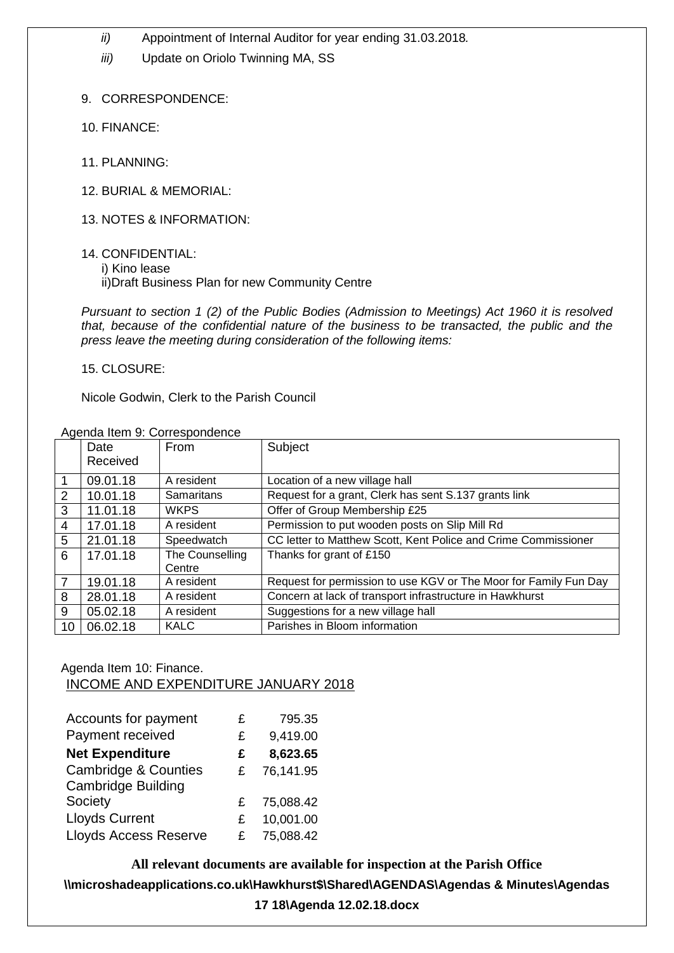- *ii)* Appointment of Internal Auditor for year ending 31.03.2018*.*
- *iii)* Update on Oriolo Twinning MA, SS
- 9. CORRESPONDENCE:
- 10. FINANCE:
- 11. PLANNING:
- 12. BURIAL & MEMORIAL:
- 13. NOTES & INFORMATION:
- 14. CONFIDENTIAL:
	- i) Kino lease

ii)Draft Business Plan for new Community Centre

*Pursuant to section 1 (2) of the Public Bodies (Admission to Meetings) Act 1960 it is resolved that, because of the confidential nature of the business to be transacted, the public and the press leave the meeting during consideration of the following items:*

15. CLOSURE:

Nicole Godwin, Clerk to the Parish Council

|    | Agenua Rent 9. Correspondence |                   |                                                                  |  |
|----|-------------------------------|-------------------|------------------------------------------------------------------|--|
|    | Date                          | From              | Subject                                                          |  |
|    | Received                      |                   |                                                                  |  |
|    | 09.01.18                      | A resident        | Location of a new village hall                                   |  |
| 2  | 10.01.18                      | <b>Samaritans</b> | Request for a grant, Clerk has sent S.137 grants link            |  |
| 3  | 11.01.18                      | <b>WKPS</b>       | Offer of Group Membership £25                                    |  |
| 4  | 17.01.18                      | A resident        | Permission to put wooden posts on Slip Mill Rd                   |  |
| 5  | 21.01.18                      | Speedwatch        | CC letter to Matthew Scott, Kent Police and Crime Commissioner   |  |
| 6  | 17.01.18                      | The Counselling   | Thanks for grant of £150                                         |  |
|    |                               | Centre            |                                                                  |  |
| 7  | 19.01.18                      | A resident        | Request for permission to use KGV or The Moor for Family Fun Day |  |
| 8  | 28.01.18                      | A resident        | Concern at lack of transport infrastructure in Hawkhurst         |  |
| 9  | 05.02.18                      | A resident        | Suggestions for a new village hall                               |  |
| 10 | 06.02.18                      | <b>KALC</b>       | Parishes in Bloom information                                    |  |

#### Agenda Item 9: Correspondence

Agenda Item 10: Finance. INCOME AND EXPENDITURE JANUARY 2018

| Accounts for payment            | £ | 795.35    |
|---------------------------------|---|-----------|
| Payment received                | £ | 9,419.00  |
| <b>Net Expenditure</b>          | £ | 8,623.65  |
| <b>Cambridge &amp; Counties</b> | £ | 76,141.95 |
| <b>Cambridge Building</b>       |   |           |
| Society                         | £ | 75,088.42 |
| <b>Lloyds Current</b>           | £ | 10,001.00 |
| <b>Lloyds Access Reserve</b>    |   | 75,088.42 |

**All relevant documents are available for inspection at the Parish Office \\microshadeapplications.co.uk\Hawkhurst\$\Shared\AGENDAS\Agendas & Minutes\Agendas** 

**17 18\Agenda 12.02.18.docx**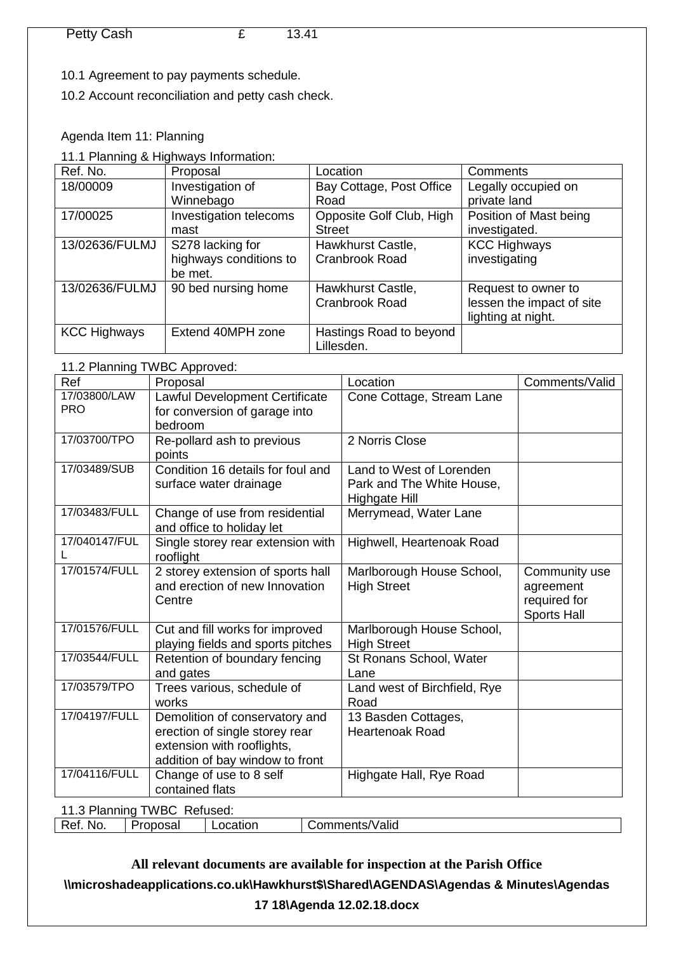10.1 Agreement to pay payments schedule.

10.2 Account reconciliation and petty cash check.

Agenda Item 11: Planning

11.1 Planning & Highways Information:

| Ref. No.            | Proposal               | Location                 | Comments                  |
|---------------------|------------------------|--------------------------|---------------------------|
| 18/00009            | Investigation of       | Bay Cottage, Post Office | Legally occupied on       |
|                     | Winnebago              | Road                     | private land              |
| 17/00025            | Investigation telecoms | Opposite Golf Club, High | Position of Mast being    |
|                     | mast                   | <b>Street</b>            | investigated.             |
| 13/02636/FULMJ      | S278 lacking for       | Hawkhurst Castle,        | <b>KCC Highways</b>       |
|                     | highways conditions to | <b>Cranbrook Road</b>    | investigating             |
|                     | be met.                |                          |                           |
| 13/02636/FULMJ      | 90 bed nursing home    | Hawkhurst Castle,        | Request to owner to       |
|                     |                        | Cranbrook Road           | lessen the impact of site |
|                     |                        |                          | lighting at night.        |
| <b>KCC Highways</b> | Extend 40MPH zone      | Hastings Road to beyond  |                           |
|                     |                        | Lillesden.               |                           |

## 11.2 Planning TWBC Approved:

| Ref                         | Proposal                                                                                                                          | Location                                                                      | Comments/Valid                                            |
|-----------------------------|-----------------------------------------------------------------------------------------------------------------------------------|-------------------------------------------------------------------------------|-----------------------------------------------------------|
| 17/03800/LAW<br><b>PRO</b>  | Lawful Development Certificate<br>for conversion of garage into                                                                   | Cone Cottage, Stream Lane                                                     |                                                           |
|                             | bedroom                                                                                                                           |                                                                               |                                                           |
| 17/03700/TPO                | Re-pollard ash to previous<br>points                                                                                              | 2 Norris Close                                                                |                                                           |
| 17/03489/SUB                | Condition 16 details for foul and<br>surface water drainage                                                                       | Land to West of Lorenden<br>Park and The White House,<br><b>Highgate Hill</b> |                                                           |
| 17/03483/FULL               | Change of use from residential<br>and office to holiday let                                                                       | Merrymead, Water Lane                                                         |                                                           |
| 17/040147/FUL               | Single storey rear extension with<br>rooflight                                                                                    | Highwell, Heartenoak Road                                                     |                                                           |
| 17/01574/FULL               | 2 storey extension of sports hall<br>and erection of new Innovation<br>Centre                                                     | Marlborough House School,<br><b>High Street</b>                               | Community use<br>agreement<br>required for<br>Sports Hall |
| 17/01576/FULL               | Cut and fill works for improved<br>playing fields and sports pitches                                                              | Marlborough House School,<br><b>High Street</b>                               |                                                           |
| 17/03544/FULL               | Retention of boundary fencing<br>and gates                                                                                        | St Ronans School, Water<br>Lane                                               |                                                           |
| 17/03579/TPO                | Trees various, schedule of<br>works                                                                                               | Land west of Birchfield, Rye<br>Road                                          |                                                           |
| 17/04197/FULL               | Demolition of conservatory and<br>erection of single storey rear<br>extension with rooflights,<br>addition of bay window to front | 13 Basden Cottages,<br><b>Heartenoak Road</b>                                 |                                                           |
| 17/04116/FULL               | Change of use to 8 self<br>contained flats                                                                                        | Highgate Hall, Rye Road                                                       |                                                           |
| 11.3 Planning TWBC Refused: |                                                                                                                                   |                                                                               |                                                           |

Ref. No. Proposal Location Comments/Valid

**All relevant documents are available for inspection at the Parish Office \\microshadeapplications.co.uk\Hawkhurst\$\Shared\AGENDAS\Agendas & Minutes\Agendas 17 18\Agenda 12.02.18.docx**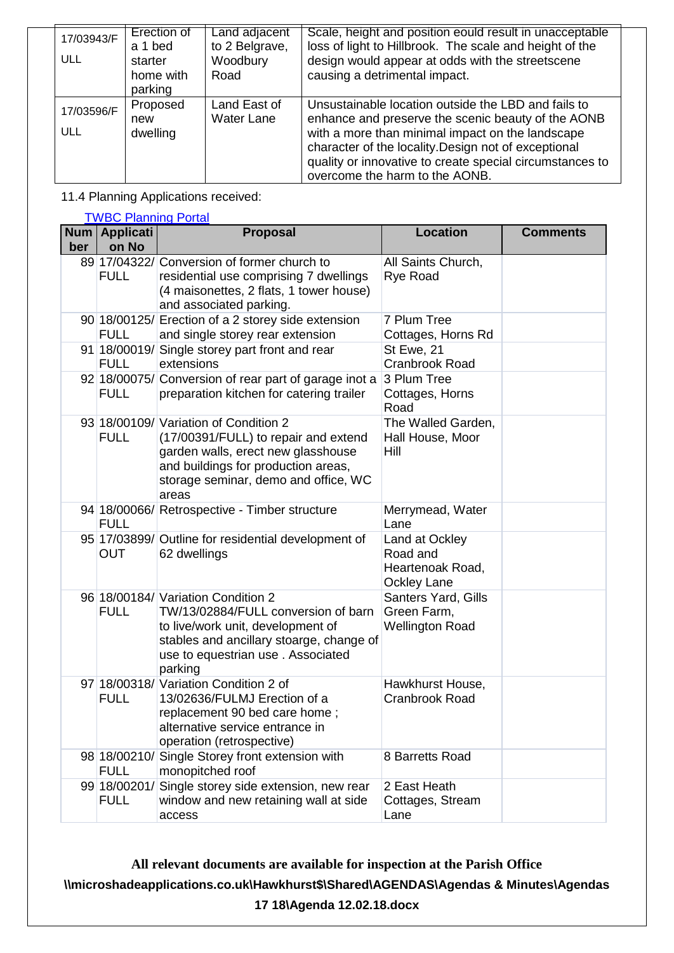| 17/03943/F        | Erection of<br>a 1 bed          | Land adjacent<br>to 2 Belgrave,   | Scale, height and position eould result in unacceptable<br>loss of light to Hillbrook. The scale and height of the                                                                                                                                                                                                  |
|-------------------|---------------------------------|-----------------------------------|---------------------------------------------------------------------------------------------------------------------------------------------------------------------------------------------------------------------------------------------------------------------------------------------------------------------|
| ULL               | starter<br>home with<br>parking | Woodbury<br>Road                  | design would appear at odds with the streetscene<br>causing a detrimental impact.                                                                                                                                                                                                                                   |
| 17/03596/F<br>ULL | Proposed<br>new<br>dwelling     | Land East of<br><b>Water Lane</b> | Unsustainable location outside the LBD and fails to<br>enhance and preserve the scenic beauty of the AONB<br>with a more than minimal impact on the landscape<br>character of the locality. Design not of exceptional<br>quality or innovative to create special circumstances to<br>overcome the harm to the AONB. |

11.4 Planning Applications received:

**[TWBC Planning Portal](http://www.tunbridgewells.gov.uk/residents/planning/planning-application-search)** 

| ber | Num   Applicati<br>on No    | <b>Location</b><br><b>Proposal</b>                                                                                                                                                                          |                                                                      | <b>Comments</b> |
|-----|-----------------------------|-------------------------------------------------------------------------------------------------------------------------------------------------------------------------------------------------------------|----------------------------------------------------------------------|-----------------|
|     | <b>FULL</b>                 | 89 17/04322/ Conversion of former church to<br>residential use comprising 7 dwellings<br>(4 maisonettes, 2 flats, 1 tower house)<br>and associated parking.                                                 | All Saints Church,<br><b>Rye Road</b>                                |                 |
|     | <b>FULL</b>                 | 90 18/00125/ Erection of a 2 storey side extension<br>and single storey rear extension                                                                                                                      | 7 Plum Tree<br>Cottages, Horns Rd                                    |                 |
|     | <b>FULL</b>                 | 91 18/00019/ Single storey part front and rear<br>extensions                                                                                                                                                | St Ewe, 21<br>Cranbrook Road                                         |                 |
|     | <b>FULL</b>                 | 92 18/00075/ Conversion of rear part of garage inot a<br>preparation kitchen for catering trailer                                                                                                           | 3 Plum Tree<br>Cottages, Horns<br>Road                               |                 |
|     | <b>FULL</b>                 | 93 18/00109/ Variation of Condition 2<br>(17/00391/FULL) to repair and extend<br>garden walls, erect new glasshouse<br>and buildings for production areas,<br>storage seminar, demo and office, WC<br>areas | The Walled Garden,<br>Hall House, Moor<br>Hill                       |                 |
|     | <b>FULL</b>                 | 94 18/00066/ Retrospective - Timber structure                                                                                                                                                               | Merrymead, Water<br>Lane                                             |                 |
|     | OUT                         | 95 17/03899/ Outline for residential development of<br>62 dwellings                                                                                                                                         | Land at Ockley<br>Road and<br>Heartenoak Road,<br><b>Ockley Lane</b> |                 |
|     | <b>FULL</b>                 | 96 18/00184/ Variation Condition 2<br>TW/13/02884/FULL conversion of barn<br>to live/work unit, development of<br>stables and ancillary stoarge, change of<br>use to equestrian use. Associated<br>parking  | Santers Yard, Gills<br>Green Farm,<br><b>Wellington Road</b>         |                 |
|     | <b>FULL</b>                 | 97 18/00318/ Variation Condition 2 of<br>13/02636/FULMJ Erection of a<br>replacement 90 bed care home;<br>alternative service entrance in<br>operation (retrospective)                                      | Hawkhurst House,<br><b>Cranbrook Road</b>                            |                 |
|     | 98 18/00210/<br><b>FULL</b> | Single Storey front extension with<br>monopitched roof                                                                                                                                                      | 8 Barretts Road                                                      |                 |
|     | 99 18/00201/<br><b>FULL</b> | Single storey side extension, new rear<br>window and new retaining wall at side<br>access                                                                                                                   | 2 East Heath<br>Cottages, Stream<br>Lane                             |                 |

**All relevant documents are available for inspection at the Parish Office \\microshadeapplications.co.uk\Hawkhurst\$\Shared\AGENDAS\Agendas & Minutes\Agendas 17 18\Agenda 12.02.18.docx**